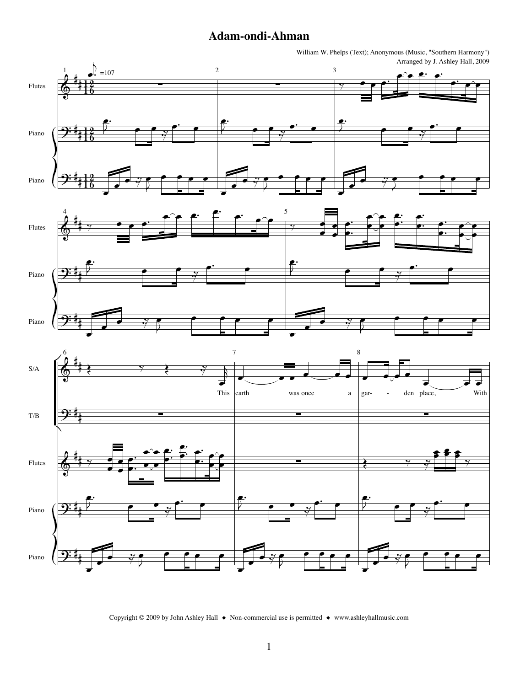## Adam-ondi-Ahman

William W. Phelps (Text); Anonymous (Music, "Southern Harmony") Arranged by J. Ashley Hall, 2009







Copyright © 2009 by John Ashley Hall ♦ Non-commercial use is permitted ♦ www.ashleyhallmusic.com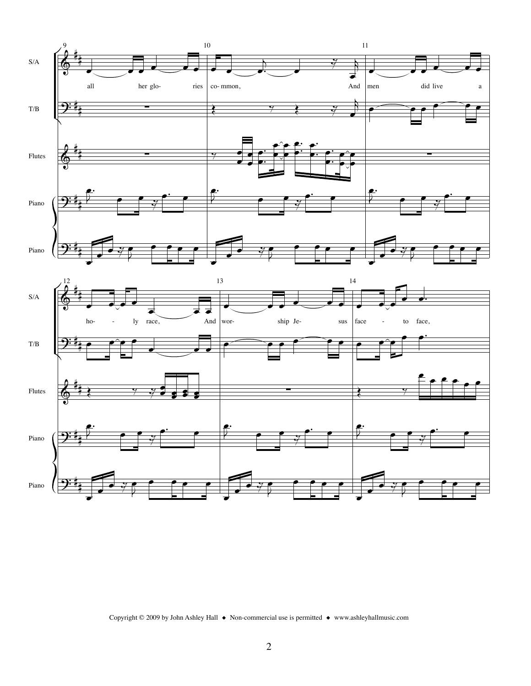



Copyright © 2009 by John Ashley Hall  $\bullet$  Non-commercial use is permitted  $\bullet$  www.ashleyhallmusic.com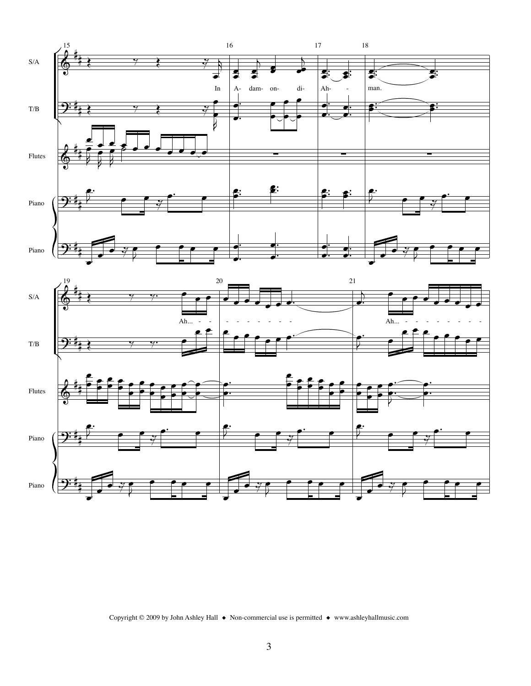

Copyright © 2009 by John Ashley Hall  $\bullet$  Non-commercial use is permitted  $\bullet$  www.ashleyhallmusic.com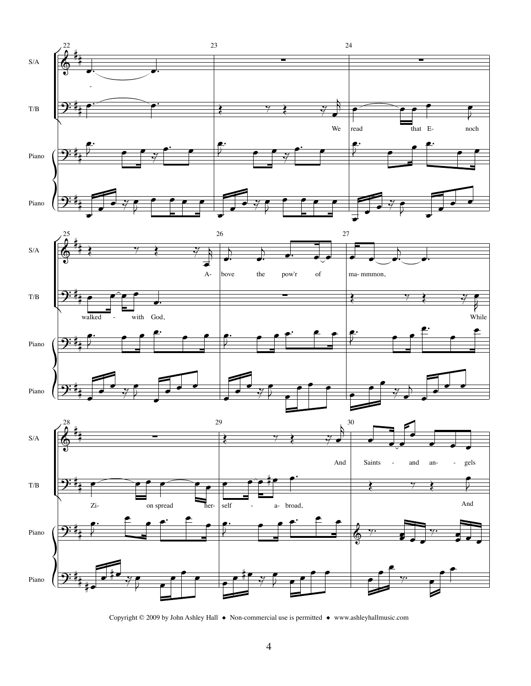





Copyright © 2009 by John Ashley Hall ♦ Non-commercial use is permitted ♦ www.ashleyhallmusic.com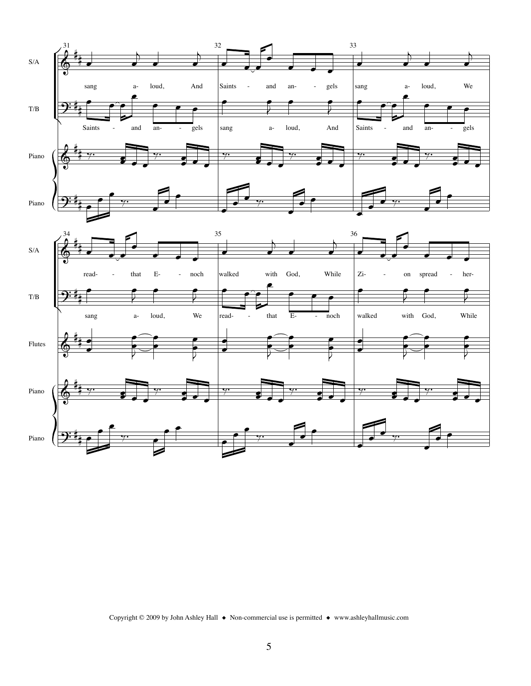

Copyright © 2009 by John Ashley Hall ♦ Non-commercial use is permitted ♦ www.ashleyhallmusic.com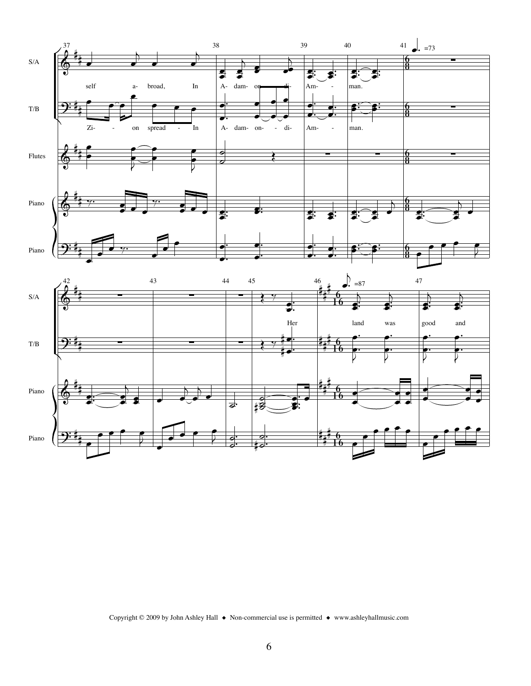

Piano

Piano



र्नु.

łŽ

⋕ℴ

ħ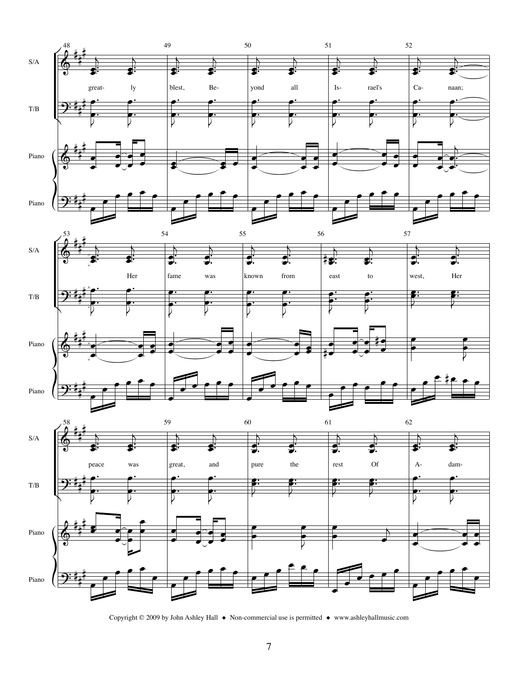





Copyright © 2009 by John Ashley Hall  $\;\blacklozenge\;$  Non-commercial use is permitted  $\;\blacklozenge\;$  www.ashleyhallmusic.com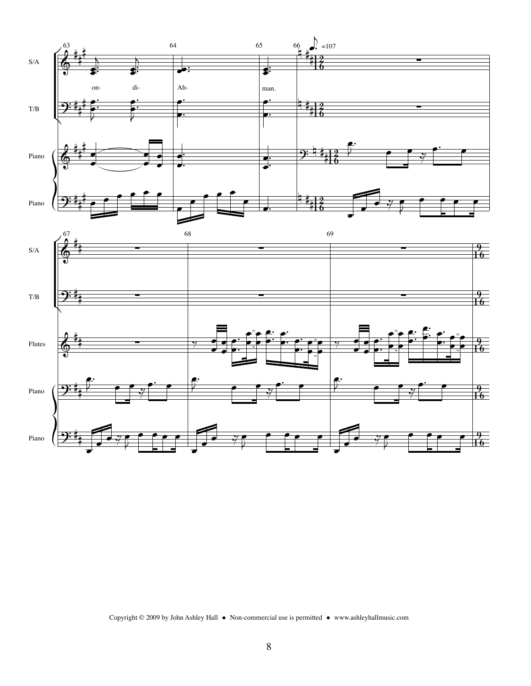

Copyright © 2009 by John Ashley Hall  $\bullet$  Non-commercial use is permitted  $\bullet$  www.ashleyhallmusic.com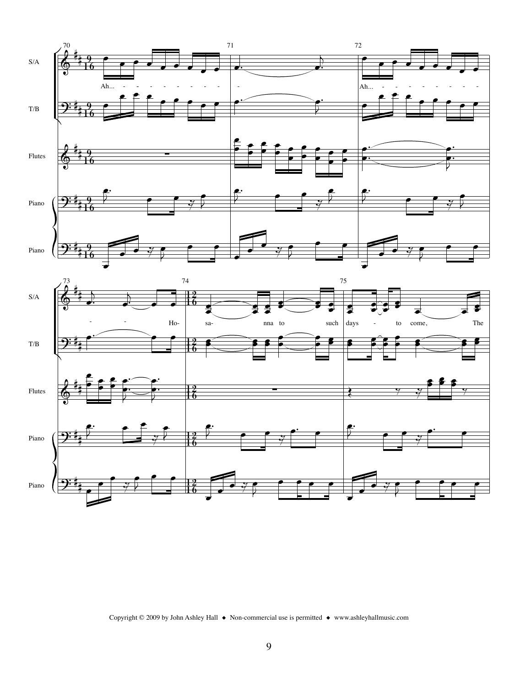



Copyright © 2009 by John Ashley Hall  $\bullet$  Non-commercial use is permitted  $\bullet$  www.ashleyhallmusic.com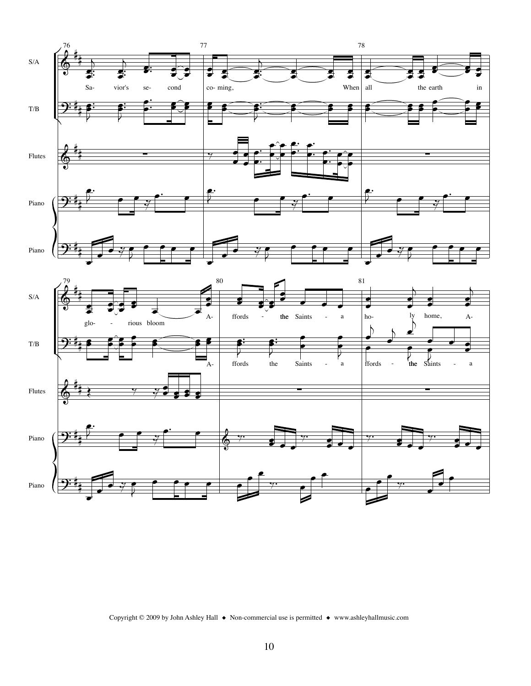

Copyright © 2009 by John Ashley Hall ◆ Non-commercial use is permitted ◆ www.ashleyhallmusic.com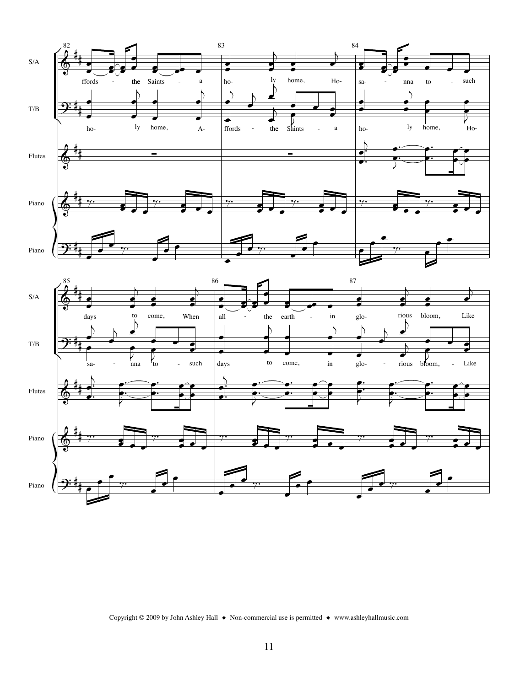



Copyright © 2009 by John Ashley Hall ♦ Non-commercial use is permitted ♦ www.ashleyhallmusic.com